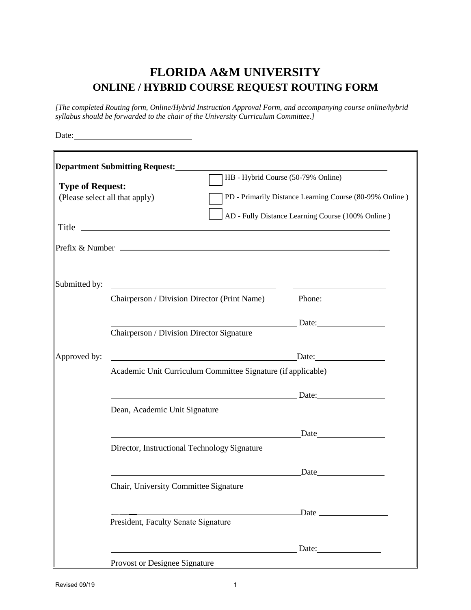## **FLORIDA A&M UNIVERSITY ONLINE / HYBRID COURSE REQUEST ROUTING FORM**

*[The completed Routing form, Online/Hybrid Instruction Approval Form, and accompanying course online/hybrid syllabus should be forwarded to the chair of the University Curriculum Committee.]*

Date:

|                         | <b>Department Submitting Request:</b>                                                                                | <u> 1980 - Jan Salaman, manazarta bashkar (h. 1980).</u>                                                                                                                                                                      |
|-------------------------|----------------------------------------------------------------------------------------------------------------------|-------------------------------------------------------------------------------------------------------------------------------------------------------------------------------------------------------------------------------|
|                         |                                                                                                                      | HB - Hybrid Course (50-79% Online)                                                                                                                                                                                            |
| <b>Type of Request:</b> | (Please select all that apply)                                                                                       | PD - Primarily Distance Learning Course (80-99% Online)                                                                                                                                                                       |
|                         |                                                                                                                      |                                                                                                                                                                                                                               |
|                         |                                                                                                                      | AD - Fully Distance Learning Course (100% Online)                                                                                                                                                                             |
|                         |                                                                                                                      |                                                                                                                                                                                                                               |
|                         |                                                                                                                      |                                                                                                                                                                                                                               |
|                         |                                                                                                                      |                                                                                                                                                                                                                               |
|                         |                                                                                                                      |                                                                                                                                                                                                                               |
|                         |                                                                                                                      |                                                                                                                                                                                                                               |
| Submitted by:           |                                                                                                                      |                                                                                                                                                                                                                               |
|                         | Chairperson / Division Director (Print Name)                                                                         | Phone:                                                                                                                                                                                                                        |
|                         |                                                                                                                      |                                                                                                                                                                                                                               |
|                         | Chairperson / Division Director Signature                                                                            | Date:                                                                                                                                                                                                                         |
|                         |                                                                                                                      |                                                                                                                                                                                                                               |
| Approved by:            | Date: <u>Date:</u>                                                                                                   |                                                                                                                                                                                                                               |
|                         | Academic Unit Curriculum Committee Signature (if applicable)                                                         |                                                                                                                                                                                                                               |
|                         |                                                                                                                      |                                                                                                                                                                                                                               |
|                         |                                                                                                                      |                                                                                                                                                                                                                               |
|                         |                                                                                                                      |                                                                                                                                                                                                                               |
|                         | Dean, Academic Unit Signature                                                                                        |                                                                                                                                                                                                                               |
|                         |                                                                                                                      |                                                                                                                                                                                                                               |
|                         | <u> 1980 - Johann Barn, mars ann an t-Amhain Aonaich an t-Aonaich an t-Aonaich ann an t-Aonaich ann an t-Aonaich</u> |                                                                                                                                                                                                                               |
|                         | Director, Instructional Technology Signature                                                                         |                                                                                                                                                                                                                               |
|                         |                                                                                                                      |                                                                                                                                                                                                                               |
|                         |                                                                                                                      | Date and the same state of the state of the state of the state of the state of the state of the state of the state of the state of the state of the state of the state of the state of the state of the state of the state of |
|                         | Chair, University Committee Signature                                                                                |                                                                                                                                                                                                                               |
|                         |                                                                                                                      |                                                                                                                                                                                                                               |
|                         |                                                                                                                      |                                                                                                                                                                                                                               |
|                         | President, Faculty Senate Signature                                                                                  |                                                                                                                                                                                                                               |
|                         |                                                                                                                      |                                                                                                                                                                                                                               |
|                         |                                                                                                                      |                                                                                                                                                                                                                               |
|                         | Provost or Designee Signature                                                                                        |                                                                                                                                                                                                                               |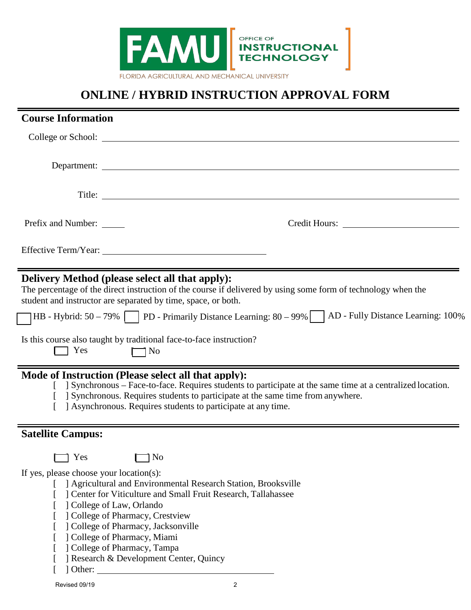

## **ONLINE / HYBRID INSTRUCTION APPROVAL FORM**

| <b>Course Information</b>               |                                                                                                                                                                                                                                                                                                                                                   |
|-----------------------------------------|---------------------------------------------------------------------------------------------------------------------------------------------------------------------------------------------------------------------------------------------------------------------------------------------------------------------------------------------------|
|                                         |                                                                                                                                                                                                                                                                                                                                                   |
|                                         |                                                                                                                                                                                                                                                                                                                                                   |
|                                         |                                                                                                                                                                                                                                                                                                                                                   |
|                                         | Title:                                                                                                                                                                                                                                                                                                                                            |
| Prefix and Number:                      |                                                                                                                                                                                                                                                                                                                                                   |
|                                         |                                                                                                                                                                                                                                                                                                                                                   |
|                                         | Delivery Method (please select all that apply):<br>The percentage of the direct instruction of the course if delivered by using some form of technology when the<br>student and instructor are separated by time, space, or both.                                                                                                                 |
|                                         | HB - Hybrid: $50 - 79\%$   PD - Primarily Distance Learning: $80 - 99\%$   AD - Fully Distance Learning: 100%                                                                                                                                                                                                                                     |
| Ses Yes                                 | Is this course also taught by traditional face-to-face instruction?<br>$\Box$ No                                                                                                                                                                                                                                                                  |
|                                         | Mode of Instruction (Please select all that apply):<br>[ ] Synchronous – Face-to-face. Requires students to participate at the same time at a centralized location.<br>] Synchronous. Requires students to participate at the same time from anywhere.<br>Asynchronous. Requires students to participate at any time.                             |
| <b>Satellite Campus:</b>                |                                                                                                                                                                                                                                                                                                                                                   |
| $\Box$ Yes                              | $\Box$ No                                                                                                                                                                                                                                                                                                                                         |
| If yes, please choose your location(s): | Agricultural and Environmental Research Station, Brooksville<br>] Center for Viticulture and Small Fruit Research, Tallahassee<br>] College of Law, Orlando<br>] College of Pharmacy, Crestview<br>] College of Pharmacy, Jacksonville<br>] College of Pharmacy, Miami<br>] College of Pharmacy, Tampa<br>] Research & Development Center, Quincy |